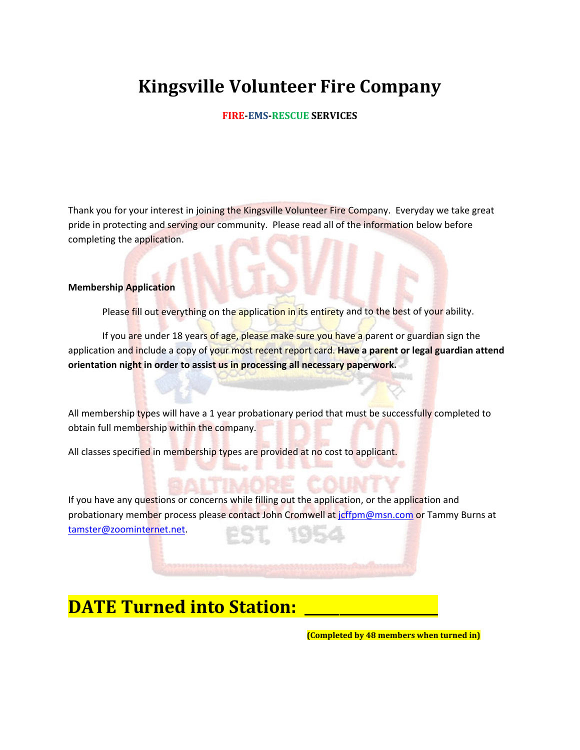#### **FIRE‐EMS‐RESCUE SERVICES**

Thank you for your interest in joining the Kingsville Volunteer Fire Company. Everyday we take great pride in protecting and serving our community. Please read all of the information below before completing the application.

#### **Membership Application**

Please fill out everything on the application in its entirety and to the best of your ability.

If you are under 18 years of age, please make sure you have a parent or guardian sign the application and include a copy of your most recent report card. **Have a parent or legal guardian attend orientation night in order to assist us in processing all necessary paperwork.**

All membership types will have a 1 year probationary period that must be successfully completed to obtain full membership within the company.

All classes specified in membership types are provided at no cost to applicant.

If you have any questions or concerns while filling out the application, or the application and probationary member process please contact John Cromwell at jcffpm@msn.com or Tammy Burns at tamster@zoominternet.net.

### **DATE** Turned into Station:

 **(Completed by 48 members when turned in)**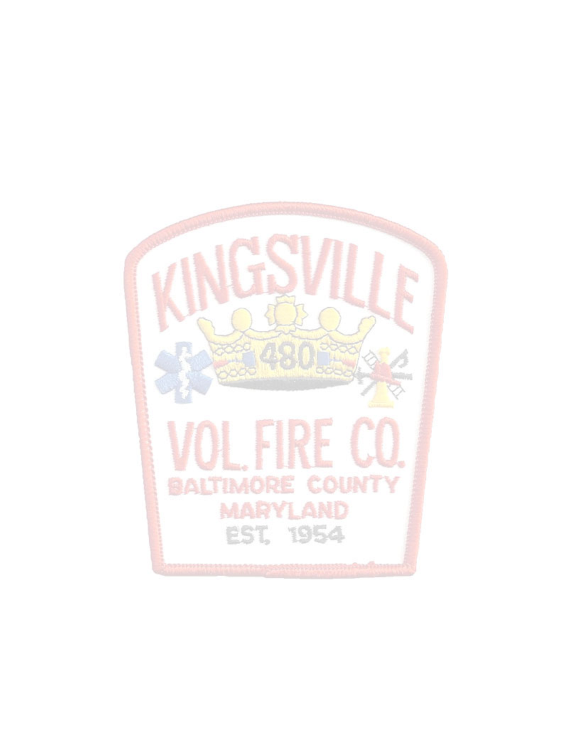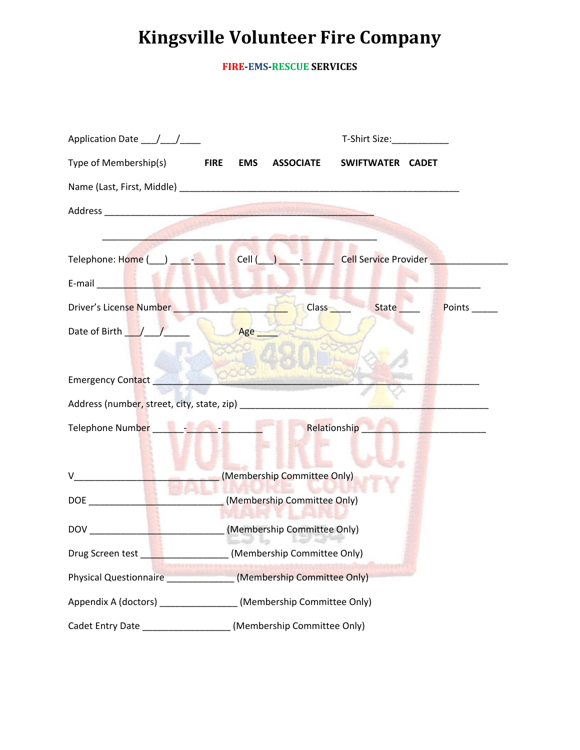**FIRE‐EMS‐RESCUE SERVICES**

|                                                                                                                                                                                                                                      |                                                                    | T-Shirt Size: T-Shirt Size:   |  |
|--------------------------------------------------------------------------------------------------------------------------------------------------------------------------------------------------------------------------------------|--------------------------------------------------------------------|-------------------------------|--|
| Type of Membership(s) FIRE EMS ASSOCIATE                                                                                                                                                                                             |                                                                    | SWIFTWATER CADET              |  |
|                                                                                                                                                                                                                                      |                                                                    |                               |  |
|                                                                                                                                                                                                                                      |                                                                    |                               |  |
|                                                                                                                                                                                                                                      |                                                                    |                               |  |
| Telephone: Home ( ) - Cell ( ) - Cell Service Provider                                                                                                                                                                               |                                                                    |                               |  |
| E-mail <b>Exercise Exercise Contract Contract Contract Contract Contract Contract Contract Contract Contract Contract Contract Contract Contract Contract Contract Contract Contract Contract Contract Contract Contract Contrac</b> |                                                                    |                               |  |
| Driver's License Number <b>Contract Contract Contract Contract Contract Contract Contract Contract Contract Contract Contract Contract Contract Contract Contract Contract Contract Contract Contract Contract Contract Contract</b> | <b>Class</b>                                                       | <b>State</b><br>Points ______ |  |
| $\cup$<br>Date of Birth / /                                                                                                                                                                                                          | Age                                                                |                               |  |
|                                                                                                                                                                                                                                      |                                                                    |                               |  |
| <b>Emergency Contact</b>                                                                                                                                                                                                             |                                                                    |                               |  |
|                                                                                                                                                                                                                                      |                                                                    |                               |  |
|                                                                                                                                                                                                                                      | Relationship                                                       |                               |  |
|                                                                                                                                                                                                                                      |                                                                    |                               |  |
| (Membership Committee Only)<br>v                                                                                                                                                                                                     |                                                                    |                               |  |
|                                                                                                                                                                                                                                      | DOE (Membership Committee Only)                                    |                               |  |
| <b>THE RESIDENT OF A 1999</b>                                                                                                                                                                                                        |                                                                    |                               |  |
| <b>DOV</b>                                                                                                                                                                                                                           | __________(Membership Committee Only)<br>50475 50 54745            |                               |  |
|                                                                                                                                                                                                                                      | Drug Screen test [19] (Membership Committee Only)                  |                               |  |
| (Membership Committee Only)<br><b>Physical Questionnaire CONSCRIPTION</b>                                                                                                                                                            |                                                                    |                               |  |
|                                                                                                                                                                                                                                      | Appendix A (doctors) _________________ (Membership Committee Only) |                               |  |
| Cadet Entry Date ___________________                                                                                                                                                                                                 | (Membership Committee Only)                                        |                               |  |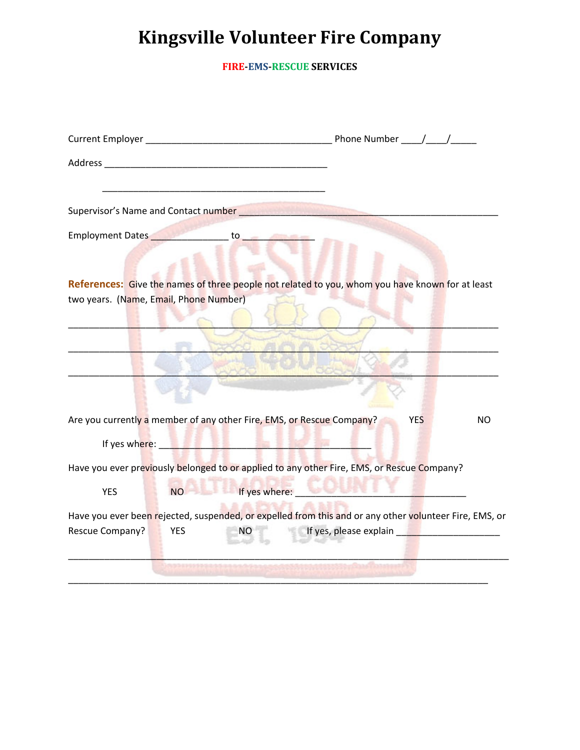**FIRE‐EMS‐RESCUE SERVICES**

| Supervisor's Name and Contact number <b>Supervisor's Name and Contact number</b>                                               |                                                                                                                                                                                                                                      |
|--------------------------------------------------------------------------------------------------------------------------------|--------------------------------------------------------------------------------------------------------------------------------------------------------------------------------------------------------------------------------------|
| Employment Dates <b>Communication Communication</b> to <b>Communication</b> by the contract of the contract of the contract of |                                                                                                                                                                                                                                      |
|                                                                                                                                |                                                                                                                                                                                                                                      |
| References: Give the names of three people not related to you, whom you have known for at least                                |                                                                                                                                                                                                                                      |
| two years. (Name, Email, Phone Number)                                                                                         |                                                                                                                                                                                                                                      |
|                                                                                                                                |                                                                                                                                                                                                                                      |
|                                                                                                                                |                                                                                                                                                                                                                                      |
|                                                                                                                                |                                                                                                                                                                                                                                      |
|                                                                                                                                |                                                                                                                                                                                                                                      |
|                                                                                                                                |                                                                                                                                                                                                                                      |
| Are you currently a member of any other Fire, EMS, or Rescue Company?                                                          | <b>YES</b><br>NO.                                                                                                                                                                                                                    |
| If yes where: the contract of the contract of the contract of the contract of the contract of the contract of                  |                                                                                                                                                                                                                                      |
| Have you ever previously belonged to or applied to any other Fire, EMS, or Rescue Company?                                     |                                                                                                                                                                                                                                      |
| <b>NO</b><br><b>YES</b>                                                                                                        | If yes where: <u>the contract of the contract of the contract of the contract of the contract of the contract of the contract of the contract of the contract of the contract of the contract of the contract of the contract of</u> |
| Have you ever been rejected, suspended, or expelled from this and or any other volunteer Fire, EMS, or                         |                                                                                                                                                                                                                                      |
| Rescue Company?<br><b>YES</b><br><b>NO</b>                                                                                     |                                                                                                                                                                                                                                      |
|                                                                                                                                |                                                                                                                                                                                                                                      |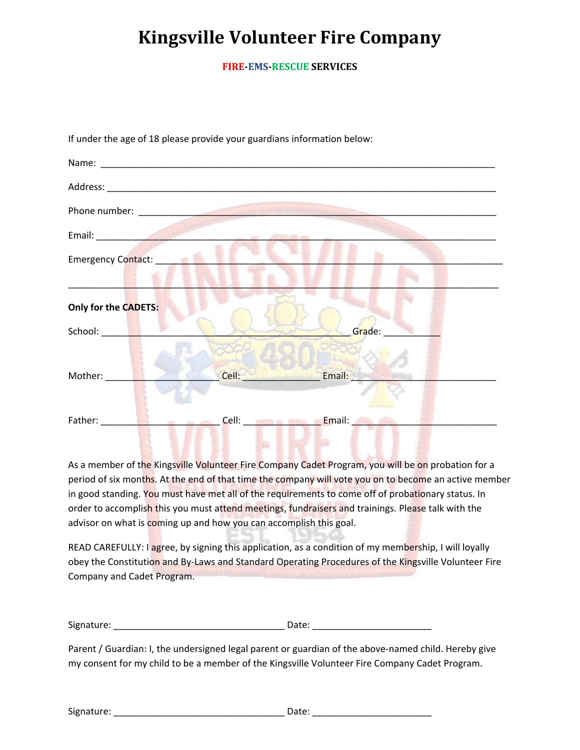**FIRE‐EMS‐RESCUE SERVICES**

| Email: <u>_____________________</u>                    |                     |            |
|--------------------------------------------------------|---------------------|------------|
| Emergency Contact: New York 1989                       |                     |            |
|                                                        |                     |            |
| Only for the CADETS:                                   |                     |            |
|                                                        |                     | Grade: ___ |
|                                                        |                     |            |
| Mother: _____                                          | <b>Cell: Cell</b> : | Email:     |
|                                                        |                     |            |
| Father: <b>Francisco Property</b><br><b>Service Ad</b> | <b>Cell: Cell</b> : | Email:     |
|                                                        |                     |            |

If under the age of 18 please provide your guardians information below:

As a member of the Kingsville Volunteer Fire Company Cadet Program, you will be on probation for a period of six months. At the end of that time the company will vote you on to become an active member in good standing. You must have met all of the requirements to come off of probationary status. In order to accomplish this you must attend meetings, fundraisers and trainings. Please talk with the advisor on what is coming up and how you can accomplish this goal.

READ CAREFULLY: I agree, by signing this application, as a condition of my membership, I will loyally obey the Constitution and By-Laws and Standard Operating Procedures of the Kingsville Volunteer Fire Company and Cadet Program.

Signature: \_\_\_\_\_\_\_\_\_\_\_\_\_\_\_\_\_\_\_\_\_\_\_\_\_\_\_\_\_\_\_\_\_ Date: \_\_\_\_\_\_\_\_\_\_\_\_\_\_\_\_\_\_\_\_\_\_\_

Parent / Guardian: I, the undersigned legal parent or guardian of the above-named child. Hereby give my consent for my child to be a member of the Kingsville Volunteer Fire Company Cadet Program.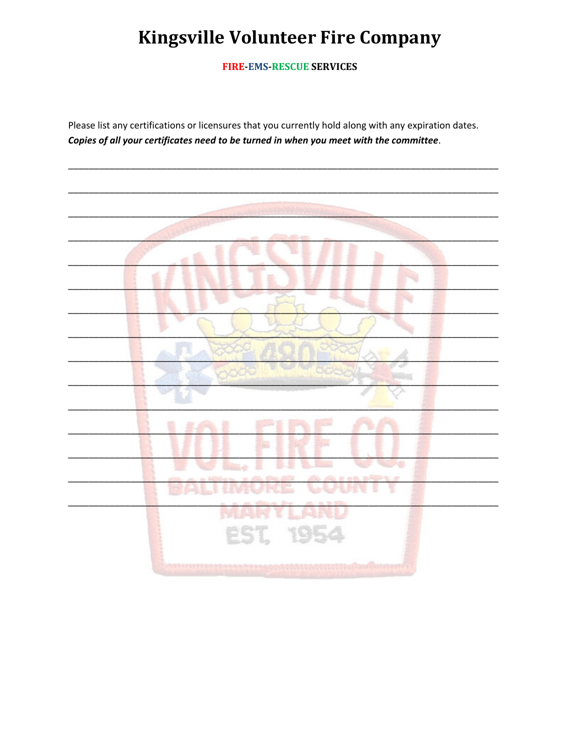**FIRE-EMS-RESCUE SERVICES** 

Please list any certifications or licensures that you currently hold along with any expiration dates. Copies of all your certificates need to be turned in when you meet with the committee.

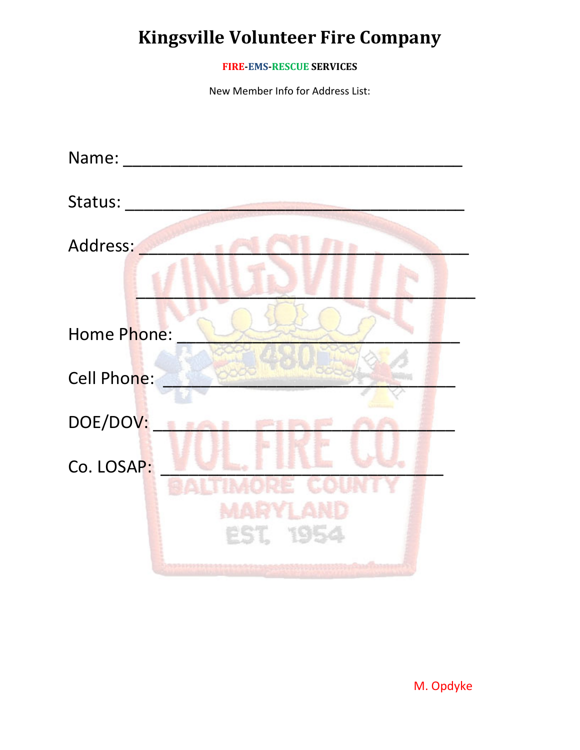### **FIRE‐EMS‐RESCUE SERVICES**

New Member Info for Address List:

| Name:          |
|----------------|
| Status:        |
| Address:       |
| Home Phone:    |
| Cell Phone:    |
| DOE/DOV:<br>à. |
| Co. LOSAP:     |
| EST. 195       |

M. Opdyke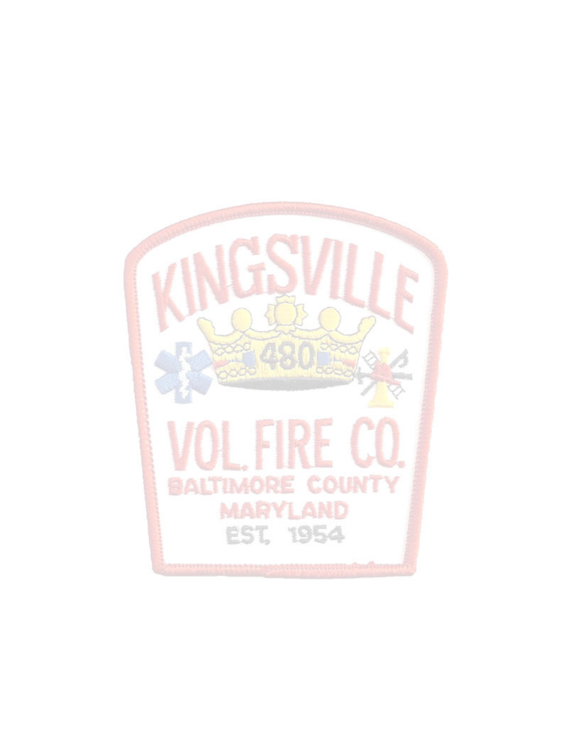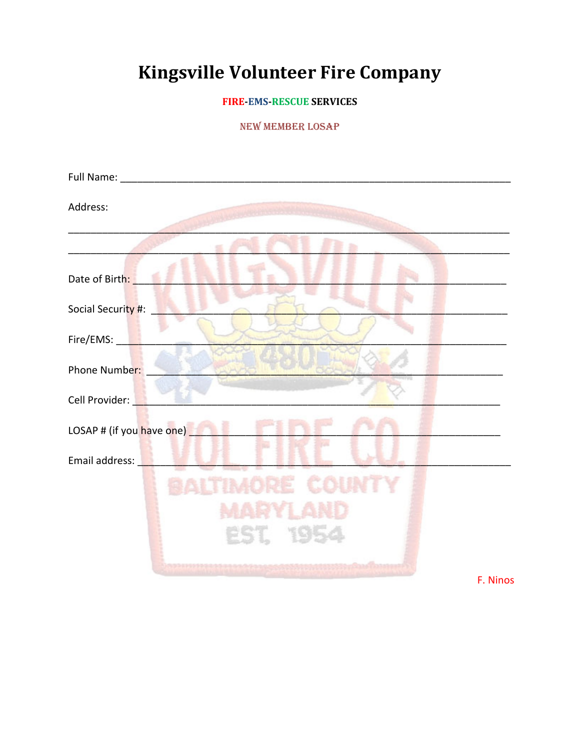### **FIRE-EMS-RESCUE SERVICES**

### **NEW MEMBER LOSAP**

| Address:                  |
|---------------------------|
|                           |
| Date of Birth:            |
| Social Security #:        |
| Fire/EMS:                 |
| Phone Number:             |
| Cell Provider:            |
| LOSAP # (if you have one) |
| Email address:            |
|                           |
|                           |
| EST, 195                  |
| F. Ninos                  |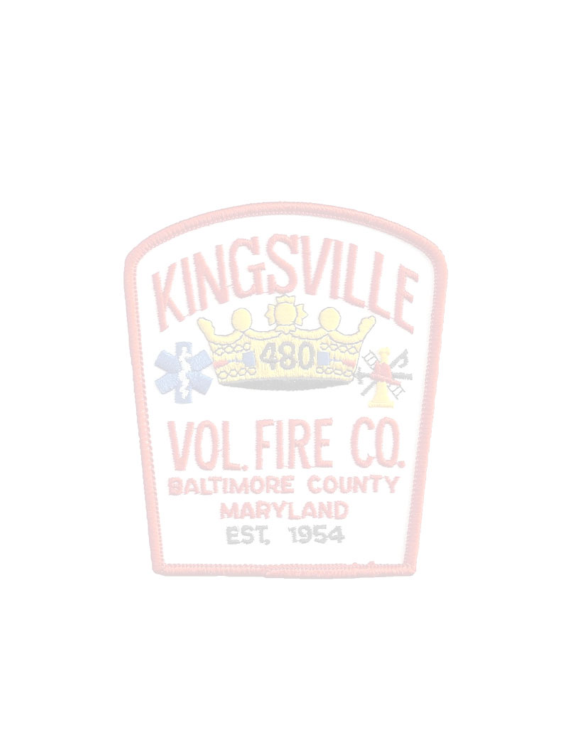